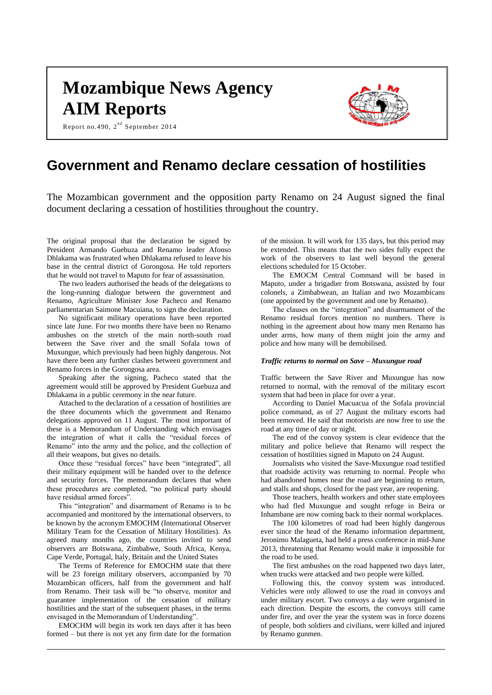# **Mozambique News Agency AIM Reports**

Report no.490,  $2^{\text{nd}}$  September 2014



# **Government and Renamo declare cessation of hostilities**

The Mozambican government and the opposition party Renamo on 24 August signed the final document declaring a cessation of hostilities throughout the country.

The original proposal that the declaration be signed by President Armando Guebuza and Renamo leader Afonso Dhlakama was frustrated when Dhlakama refused to leave his base in the central district of Gorongosa. He told reporters that he would not travel to Maputo for fear of assassination.

The two leaders authorised the heads of the delegations to the long-running dialogue between the government and Renamo, Agriculture Minister Jose Pacheco and Renamo parliamentarian Saimone Macuiana, to sign the declaration.

No significant military operations have been reported since late June. For two months there have been no Renamo ambushes on the stretch of the main north-south road between the Save river and the small Sofala town of Muxungue, which previously had been highly dangerous. Not have there been any further clashes between government and Renamo forces in the Gorongosa area.

Speaking after the signing, Pacheco stated that the agreement would still be approved by President Guebuza and Dhlakama in a public ceremony in the near future.

Attached to the declaration of a cessation of hostilities are the three documents which the government and Renamo delegations approved on 11 August. The most important of these is a Memorandum of Understanding which envisages the integration of what it calls the "residual forces of Renamo" into the army and the police, and the collection of all their weapons, but gives no details.

Once these "residual forces" have been "integrated", all their military equipment will be handed over to the defence and security forces. The memorandum declares that when these procedures are completed, "no political party should have residual armed forces"

This "integration" and disarmament of Renamo is to be accompanied and monitored by the international observers, to be known by the acronym EMOCHM (International Observer Military Team for the Cessation of Military Hostilities). As agreed many months ago, the countries invited to send observers are Botswana, Zimbabwe, South Africa, Kenya, Cape Verde, Portugal, Italy, Britain and the United States

The Terms of Reference for EMOCHM state that there will be 23 foreign military observers, accompanied by 70 Mozambican officers, half from the government and half from Renamo. Their task will be "to observe, monitor and guarantee implementation of the cessation of military hostilities and the start of the subsequent phases, in the terms envisaged in the Memorandum of Understanding".

EMOCHM will begin its work ten days after it has been formed – but there is not yet any firm date for the formation

of the mission. It will work for 135 days, but this period may be extended. This means that the two sides fully expect the work of the observers to last well beyond the general elections scheduled for 15 October.

The EMOCM Central Command will be based in Maputo, under a brigadier from Botswana, assisted by four colonels, a Zimbabwean, an Italian and two Mozambicans (one appointed by the government and one by Renamo).

The clauses on the "integration" and disarmament of the Renamo residual forces mention no numbers. There is nothing in the agreement about how many men Renamo has under arms, how many of them might join the army and police and how many will be demobilised.

#### *Traffic returns to normal on Save – Muxungue road*

Traffic between the Save River and Muxungue has now returned to normal, with the removal of the military escort system that had been in place for over a year.

According to Daniel Macuacua of the Sofala provincial police command, as of 27 August the military escorts had been removed. He said that motorists are now free to use the road at any time of day or night.

The end of the convoy system is clear evidence that the military and police believe that Renamo will respect the cessation of hostilities signed in Maputo on 24 August.

Journalists who visited the Save-Muxungue road testified that roadside activity was returning to normal. People who had abandoned homes near the road are beginning to return, and stalls and shops, closed for the past year, are reopening.

Those teachers, health workers and other state employees who had fled Muxungue and sought refuge in Beira or Inhambane are now coming back to their normal workplaces.

The 100 kilometres of road had been highly dangerous ever since the head of the Renamo information department, Jeronimo Malagueta, had held a press conference in mid-June 2013, threatening that Renamo would make it impossible for the road to be used.

The first ambushes on the road happened two days later, when trucks were attacked and two people were killed.

Following this, the convoy system was introduced. Vehicles were only allowed to use the road in convoys and under military escort. Two convoys a day were organised in each direction. Despite the escorts, the convoys still came under fire, and over the year the system was in force dozens of people, both soldiers and civilians, were killed and injured by Renamo gunmen.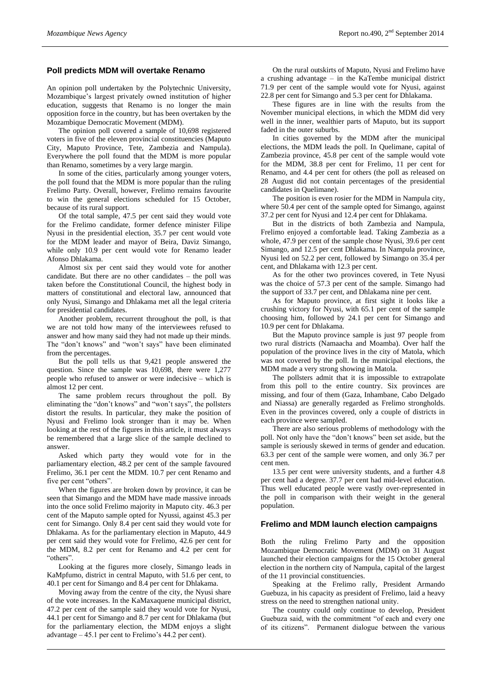# **Poll predicts MDM will overtake Renamo**

An opinion poll undertaken by the Polytechnic University, Mozambique's largest privately owned institution of higher education, suggests that Renamo is no longer the main opposition force in the country, but has been overtaken by the Mozambique Democratic Movement (MDM).

The opinion poll covered a sample of 10,698 registered voters in five of the eleven provincial constituencies (Maputo City, Maputo Province, Tete, Zambezia and Nampula). Everywhere the poll found that the MDM is more popular than Renamo, sometimes by a very large margin.

In some of the cities, particularly among younger voters, the poll found that the MDM is more popular than the ruling Frelimo Party. Overall, however, Frelimo remains favourite to win the general elections scheduled for 15 October, because of its rural support.

Of the total sample, 47.5 per cent said they would vote for the Frelimo candidate, former defence minister Filipe Nyusi in the presidential election, 35.7 per cent would vote for the MDM leader and mayor of Beira, Daviz Simango, while only 10.9 per cent would vote for Renamo leader Afonso Dhlakama.

Almost six per cent said they would vote for another candidate. But there are no other candidates – the poll was taken before the Constitutional Council, the highest body in matters of constitutional and electoral law, announced that only Nyusi, Simango and Dhlakama met all the legal criteria for presidential candidates.

Another problem, recurrent throughout the poll, is that we are not told how many of the interviewees refused to answer and how many said they had not made up their minds. The "don't knows" and "won't says" have been eliminated from the percentages.

But the poll tells us that 9,421 people answered the question. Since the sample was 10,698, there were 1,277 people who refused to answer or were indecisive – which is almost 12 per cent.

The same problem recurs throughout the poll. By eliminating the "don't knows" and "won't says", the pollsters distort the results. In particular, they make the position of Nyusi and Frelimo look stronger than it may be. When looking at the rest of the figures in this article, it must always be remembered that a large slice of the sample declined to answer.

Asked which party they would vote for in the parliamentary election, 48.2 per cent of the sample favoured Frelimo, 36.1 per cent the MDM. 10.7 per cent Renamo and five per cent "others".

When the figures are broken down by province, it can be seen that Simango and the MDM have made massive inroads into the once solid Frelimo majority in Maputo city. 46.3 per cent of the Maputo sample opted for Nyussi, against 45.3 per cent for Simango. Only 8.4 per cent said they would vote for Dhlakama. As for the parliamentary election in Maputo, 44.9 per cent said they would vote for Frelimo, 42.6 per cent for the MDM, 8.2 per cent for Renamo and 4.2 per cent for "others".

Looking at the figures more closely, Simango leads in KaMpfumo, district in central Maputo, with 51.6 per cent, to 40.1 per cent for Simango and 8.4 per cent for Dhlakama.

Moving away from the centre of the city, the Nyusi share of the vote increases. In the KaMaxaquene municipal district, 47.2 per cent of the sample said they would vote for Nyusi, 44.1 per cent for Simango and 8.7 per cent for Dhlakama (but for the parliamentary election, the MDM enjoys a slight advantage – 45.1 per cent to Frelimo's 44.2 per cent).

On the rural outskirts of Maputo, Nyusi and Frelimo have a crushing advantage – in the KaTembe municipal district 71.9 per cent of the sample would vote for Nyusi, against 22.8 per cent for Simango and 5.3 per cent for Dhlakama.

These figures are in line with the results from the November municipal elections, in which the MDM did very well in the inner, wealthier parts of Maputo, but its support faded in the outer suburbs.

In cities governed by the MDM after the municipal elections, the MDM leads the poll. In Quelimane, capital of Zambezia province, 45.8 per cent of the sample would vote for the MDM, 38.8 per cent for Frelimo, 11 per cent for Renamo, and 4.4 per cent for others (the poll as released on 28 August did not contain percentages of the presidential candidates in Quelimane).

The position is even rosier for the MDM in Nampula city, where 50.4 per cent of the sample opted for Simango, against 37.2 per cent for Nyusi and 12.4 per cent for Dhlakama.

But in the districts of both Zambezia and Nampula, Frelimo enjoyed a comfortable lead. Taking Zambezia as a whole, 47.9 per cent of the sample chose Nyusi, 39.6 per cent Simango, and 12.5 per cent Dhlakama. In Nampula province, Nyusi led on 52.2 per cent, followed by Simango on 35.4 per cent, and Dhlakama with 12.3 per cent.

As for the other two provinces covered, in Tete Nyusi was the choice of 57.3 per cent of the sample. Simango had the support of 33.7 per cent, and Dhlakama nine per cent.

As for Maputo province, at first sight it looks like a crushing victory for Nyusi, with 65.1 per cent of the sample choosing him, followed by 24.1 per cent for Simango and 10.9 per cent for Dhlakama.

But the Maputo province sample is just 97 people from two rural districts (Namaacha and Moamba). Over half the population of the province lives in the city of Matola, which was not covered by the poll. In the municipal elections, the MDM made a very strong showing in Matola.

The pollsters admit that it is impossible to extrapolate from this poll to the entire country. Six provinces are missing, and four of them (Gaza, Inhambane, Cabo Delgado and Niassa) are generally regarded as Frelimo strongholds. Even in the provinces covered, only a couple of districts in each province were sampled.

There are also serious problems of methodology with the poll. Not only have the "don't knows" been set aside, but the sample is seriously skewed in terms of gender and education. 63.3 per cent of the sample were women, and only 36.7 per cent men.

13.5 per cent were university students, and a further 4.8 per cent had a degree. 37.7 per cent had mid-level education. Thus well educated people were vastly over-represented in the poll in comparison with their weight in the general population.

# **Frelimo and MDM launch election campaigns**

Both the ruling Frelimo Party and the opposition Mozambique Democratic Movement (MDM) on 31 August launched their election campaigns for the 15 October general election in the northern city of Nampula, capital of the largest of the 11 provincial constituencies.

Speaking at the Frelimo rally, President Armando Guebuza, in his capacity as president of Frelimo, laid a heavy stress on the need to strengthen national unity.

The country could only continue to develop, President Guebuza said, with the commitment "of each and every one of its citizens". Permanent dialogue between the various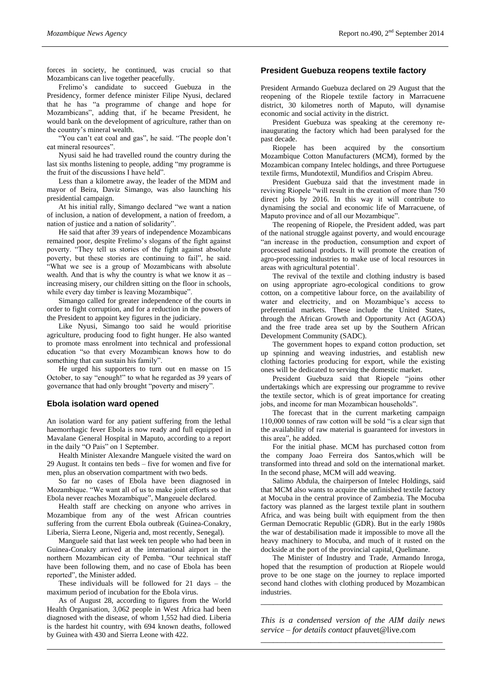forces in society, he continued, was crucial so that Mozambicans can live together peacefully.

Frelimo's candidate to succeed Guebuza in the Presidency, former defence minister Filipe Nyusi, declared that he has "a programme of change and hope for Mozambicans", adding that, if he became President, he would bank on the development of agriculture, rather than on the country's mineral wealth.

"You can't eat coal and gas", he said. "The people don't eat mineral resources".

Nyusi said he had travelled round the country during the last six months listening to people, adding "my programme is the fruit of the discussions I have held".

Less than a kilometre away, the leader of the MDM and mayor of Beira, Daviz Simango, was also launching his presidential campaign.

At his initial rally, Simango declared "we want a nation of inclusion, a nation of development, a nation of freedom, a nation of justice and a nation of solidarity".

He said that after 39 years of independence Mozambicans remained poor, despite Frelimo's slogans of the fight against poverty. "They tell us stories of the fight against absolute poverty, but these stories are continuing to fail", he said. "What we see is a group of Mozambicans with absolute wealth. And that is why the country is what we know it as – increasing misery, our children sitting on the floor in schools, while every day timber is leaving Mozambique".

Simango called for greater independence of the courts in order to fight corruption, and for a reduction in the powers of the President to appoint key figures in the judiciary.

Like Nyusi, Simango too said he would prioritise agriculture, producing food to fight hunger. He also wanted to promote mass enrolment into technical and professional education "so that every Mozambican knows how to do something that can sustain his family".

He urged his supporters to turn out en masse on 15 October, to say "enough!" to what he regarded as 39 years of governance that had only brought "poverty and misery".

#### **Ebola isolation ward opened**

An isolation ward for any patient suffering from the lethal haemorrhagic fever Ebola is now ready and full equipped in Mavalane General Hospital in Maputo, according to a report in the daily "O Pais" on 1 September.

Health Minister Alexandre Manguele visited the ward on 29 August. It contains ten beds – five for women and five for men, plus an observation compartment with two beds.

So far no cases of Ebola have been diagnosed in Mozambique. "We want all of us to make joint efforts so that Ebola never reaches Mozambique", Mangeuele declared.

Health staff are checking on anyone who arrives in Mozambique from any of the west African countries suffering from the current Ebola outbreak (Guinea-Conakry, Liberia, Sierra Leone, Nigeria and, most recently, Senegal).

Manguele said that last week ten people who had been in Guinea-Conakry arrived at the international airport in the northern Mozambican city of Pemba. "Our technical staff have been following them, and no case of Ebola has been reported", the Minister added.

These individuals will be followed for 21 days – the maximum period of incubation for the Ebola virus.

As of August 28, according to figures from the World Health Organisation, 3,062 people in West Africa had been diagnosed with the disease, of whom 1,552 had died. Liberia is the hardest hit country, with 694 known deaths, followed by Guinea with 430 and Sierra Leone with 422.

#### **President Guebuza reopens textile factory**

President Armando Guebuza declared on 29 August that the reopening of the Riopele textile factory in Marracuene district, 30 kilometres north of Maputo, will dynamise economic and social activity in the district.

President Guebuza was speaking at the ceremony reinaugurating the factory which had been paralysed for the past decade.

Riopele has been acquired by the consortium Mozambique Cotton Manufacturers (MCM), formed by the Mozambican company Intelec holdings, and three Portuguese textile firms, Mundotextil, Mundifios and Crispim Abreu.

President Guebuza said that the investment made in reviving Riopele "will result in the creation of more than 750 direct jobs by 2016. In this way it will contribute to dynamising the social and economic life of Marracuene, of Maputo province and of all our Mozambique".

The reopening of Riopele, the President added, was part of the national struggle against poverty, and would encourage "an increase in the production, consumption and export of processed national products. It will promote the creation of agro-processing industries to make use of local resources in areas with agricultural potential'.

The revival of the textile and clothing industry is based on using appropriate agro-ecological conditions to grow cotton, on a competitive labour force, on the availability of water and electricity, and on Mozambique's access to preferential markets. These include the United States, through the African Growth and Opportunity Act (AGOA) and the free trade area set up by the Southern African Development Community (SADC).

The government hopes to expand cotton production, set up spinning and weaving industries, and establish new clothing factories producing for export, while the existing ones will be dedicated to serving the domestic market.

President Guebuza said that Riopele "joins other undertakings which are expressing our programme to revive the textile sector, which is of great importance for creating jobs, and income for man Mozambican households".

The forecast that in the current marketing campaign 110,000 tonnes of raw cotton will be sold "is a clear sign that the availability of raw material is guaranteed for investors in this area", he added.

For the initial phase. MCM has purchased cotton from the company Joao Ferreira dos Santos,which will be transformed into thread and sold on the international market. In the second phase, MCM will add weaving.

Salimo Abdula, the chairperson of Intelec Holdings, said that MCM also wants to acquire the unfinished textile factory at Mocuba in the central province of Zambezia. The Mocuba factory was planned as the largest textile plant in southern Africa, and was being built with equipment from the then German Democratic Republic (GDR). But in the early 1980s the war of destabilisation made it impossible to move all the heavy machinery to Mocuba, and much of it rusted on the dockside at the port of the provincial capital, Quelimane.

The Minister of Industry and Trade, Armando Inroga, hoped that the resumption of production at Riopele would prove to be one stage on the journey to replace imported second hand clothes with clothing produced by Mozambican industries.

*This is a condensed version of the AIM daily news service – for details contact* pfauvet@live.com *\_\_\_\_\_\_\_\_\_\_\_\_\_\_\_\_\_\_\_\_\_\_\_\_\_\_\_\_\_\_\_\_\_\_\_\_\_\_\_\_\_\_\_\_*

*\_\_\_\_\_\_\_\_\_\_\_\_\_\_\_\_\_\_\_\_\_\_\_\_\_\_\_\_\_\_\_\_\_\_\_\_\_\_\_\_\_\_\_\_*